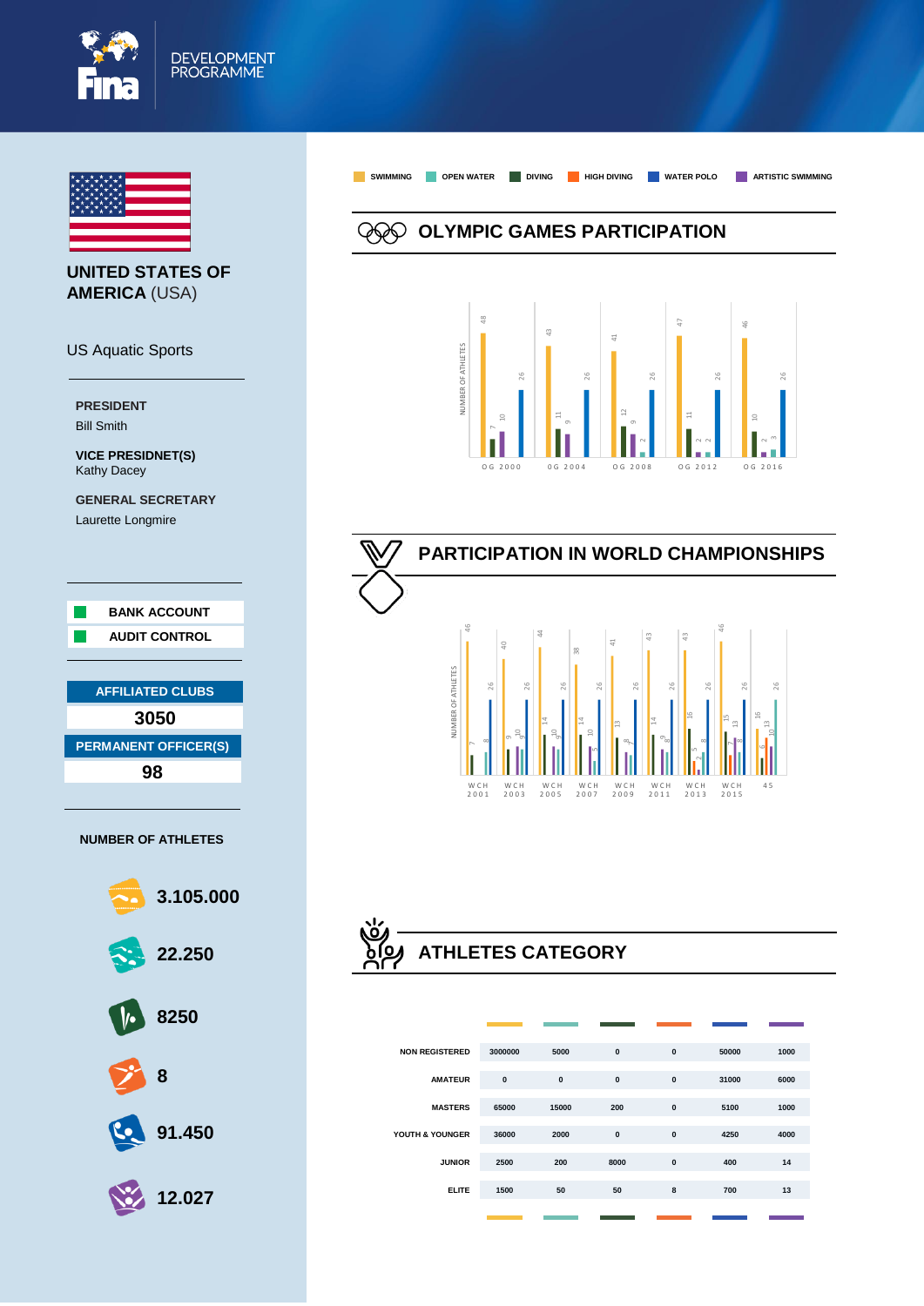





US Aquatic Sports

**PRESIDENT** Bill Smith

**VICE PRESIDNET(S)** Kathy Dacey

**GENERAL SECRETARY** Laurette Longmire



**SWIMMING OPEN WATER DIVING HIGH DIVING WATER POLO ARTISTIC SWIMMING OLYMPIC GAMES PARTICIPATION** NUMBER OF ATHLETES NUMBER OF ATHLETES  $\overline{6}$  $\circ$  $\overline{2}$  O G 2 0 0 0 0 G 2 0 0 4 O G 2 0 0 8 O G 2 0 1 2 O G 2 0 1 6



## **ATHLETES CATEGORY**

| <b>NON REGISTERED</b> | 3000000      | 5000         | $\mathbf{0}$ | $\mathbf{0}$ | 50000 | 1000 |
|-----------------------|--------------|--------------|--------------|--------------|-------|------|
| <b>AMATEUR</b>        | $\mathbf{0}$ | $\mathbf{0}$ | $\mathbf{0}$ | $\mathbf{0}$ | 31000 | 6000 |
| <b>MASTERS</b>        | 65000        | 15000        | 200          | $\mathbf{0}$ | 5100  | 1000 |
| YOUTH & YOUNGER       | 36000        | 2000         | $\mathbf{0}$ | $\mathbf{0}$ | 4250  | 4000 |
| <b>JUNIOR</b>         | 2500         | 200          | 8000         | $\mathbf{0}$ | 400   | 14   |
| <b>ELITE</b>          | 1500         | 50           | 50           | 8            | 700   | 13   |